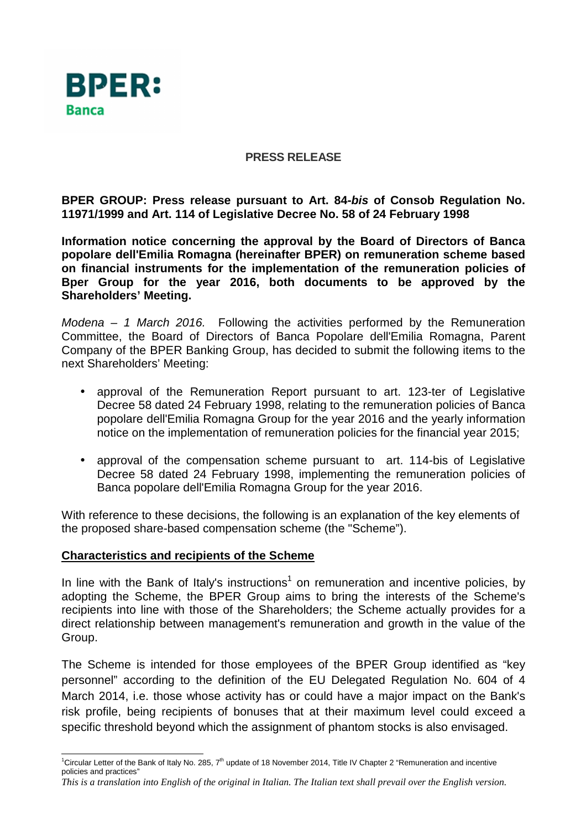

## **PRESS RELEASE**

**BPER GROUP: Press release pursuant to Art. 84-bis of Consob Regulation No. 11971/1999 and Art. 114 of Legislative Decree No. 58 of 24 February 1998** 

**Information notice concerning the approval by the Board of Directors of Banca popolare dell'Emilia Romagna (hereinafter BPER) on remuneration scheme based on financial instruments for the implementation of the remuneration policies of Bper Group for the year 2016, both documents to be approved by the Shareholders' Meeting.** 

Modena – 1 March 2016. Following the activities performed by the Remuneration Committee, the Board of Directors of Banca Popolare dell'Emilia Romagna, Parent Company of the BPER Banking Group, has decided to submit the following items to the next Shareholders' Meeting:

- approval of the Remuneration Report pursuant to art. 123-ter of Legislative Decree 58 dated 24 February 1998, relating to the remuneration policies of Banca popolare dell'Emilia Romagna Group for the year 2016 and the yearly information notice on the implementation of remuneration policies for the financial year 2015;
- approval of the compensation scheme pursuant to art. 114-bis of Legislative Decree 58 dated 24 February 1998, implementing the remuneration policies of Banca popolare dell'Emilia Romagna Group for the year 2016.

With reference to these decisions, the following is an explanation of the key elements of the proposed share-based compensation scheme (the "Scheme").

## **Characteristics and recipients of the Scheme**

In line with the Bank of Italy's instructions<sup>1</sup> on remuneration and incentive policies, by adopting the Scheme, the BPER Group aims to bring the interests of the Scheme's recipients into line with those of the Shareholders; the Scheme actually provides for a direct relationship between management's remuneration and growth in the value of the Group.

The Scheme is intended for those employees of the BPER Group identified as "key personnel" according to the definition of the EU Delegated Regulation No. 604 of 4 March 2014, i.e. those whose activity has or could have a major impact on the Bank's risk profile, being recipients of bonuses that at their maximum level could exceed a specific threshold beyond which the assignment of phantom stocks is also envisaged.

 $\overline{a}$ <sup>1</sup>Circular Letter of the Bank of Italy No. 285, 7<sup>th</sup> update of 18 November 2014, Title IV Chapter 2 "Remuneration and incentive policies and practices"

*This is a translation into English of the original in Italian. The Italian text shall prevail over the English version.*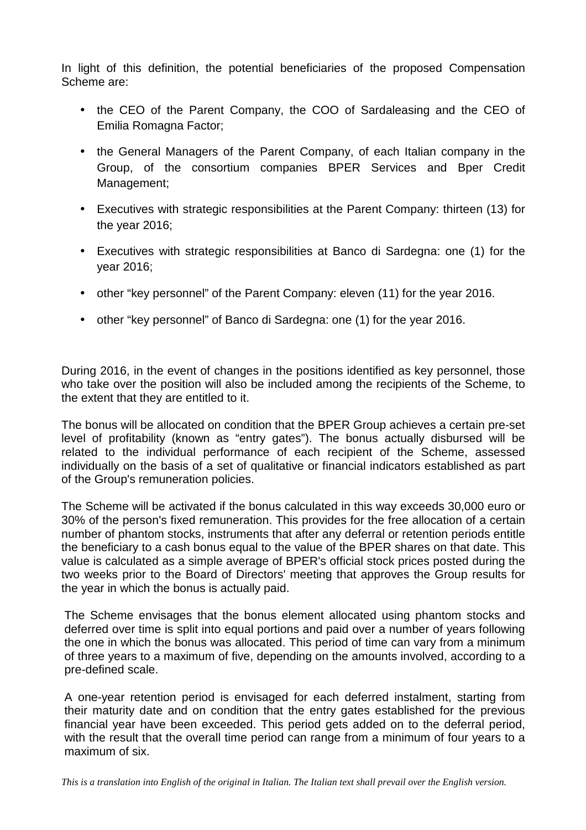In light of this definition, the potential beneficiaries of the proposed Compensation Scheme are:

- the CEO of the Parent Company, the COO of Sardaleasing and the CEO of Emilia Romagna Factor;
- the General Managers of the Parent Company, of each Italian company in the Group, of the consortium companies BPER Services and Bper Credit Management;
- Executives with strategic responsibilities at the Parent Company: thirteen (13) for the year 2016;
- Executives with strategic responsibilities at Banco di Sardegna: one (1) for the year 2016;
- other "key personnel" of the Parent Company: eleven (11) for the year 2016.
- other "key personnel" of Banco di Sardegna: one (1) for the year 2016.

During 2016, in the event of changes in the positions identified as key personnel, those who take over the position will also be included among the recipients of the Scheme, to the extent that they are entitled to it.

The bonus will be allocated on condition that the BPER Group achieves a certain pre-set level of profitability (known as "entry gates"). The bonus actually disbursed will be related to the individual performance of each recipient of the Scheme, assessed individually on the basis of a set of qualitative or financial indicators established as part of the Group's remuneration policies.

The Scheme will be activated if the bonus calculated in this way exceeds 30,000 euro or 30% of the person's fixed remuneration. This provides for the free allocation of a certain number of phantom stocks, instruments that after any deferral or retention periods entitle the beneficiary to a cash bonus equal to the value of the BPER shares on that date. This value is calculated as a simple average of BPER's official stock prices posted during the two weeks prior to the Board of Directors' meeting that approves the Group results for the year in which the bonus is actually paid.

The Scheme envisages that the bonus element allocated using phantom stocks and deferred over time is split into equal portions and paid over a number of years following the one in which the bonus was allocated. This period of time can vary from a minimum of three years to a maximum of five, depending on the amounts involved, according to a pre-defined scale.

A one-year retention period is envisaged for each deferred instalment, starting from their maturity date and on condition that the entry gates established for the previous financial year have been exceeded. This period gets added on to the deferral period, with the result that the overall time period can range from a minimum of four years to a maximum of six.